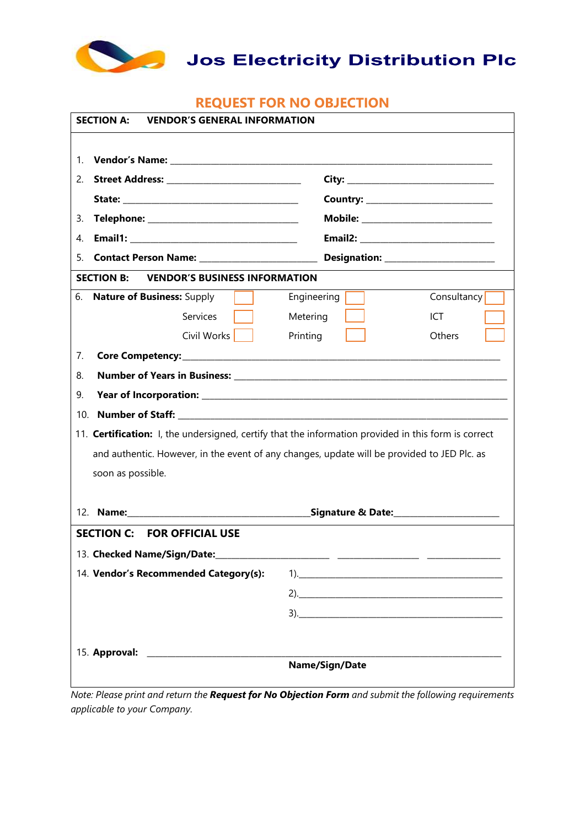

Jos Electricity Distribution Plc

## **REQUEST FOR NO OBJECTION**

| <b>SECTION A:</b><br><b>VENDOR'S GENERAL INFORMATION</b>                                                                                                                                                                        |                |                                                                                                                                                                                                                                                                                                                                                                                      |
|---------------------------------------------------------------------------------------------------------------------------------------------------------------------------------------------------------------------------------|----------------|--------------------------------------------------------------------------------------------------------------------------------------------------------------------------------------------------------------------------------------------------------------------------------------------------------------------------------------------------------------------------------------|
|                                                                                                                                                                                                                                 |                |                                                                                                                                                                                                                                                                                                                                                                                      |
| 1.                                                                                                                                                                                                                              |                |                                                                                                                                                                                                                                                                                                                                                                                      |
| 2.                                                                                                                                                                                                                              |                |                                                                                                                                                                                                                                                                                                                                                                                      |
|                                                                                                                                                                                                                                 |                |                                                                                                                                                                                                                                                                                                                                                                                      |
| 3.<br>Telephone: __________________________________                                                                                                                                                                             |                |                                                                                                                                                                                                                                                                                                                                                                                      |
| 4.                                                                                                                                                                                                                              |                |                                                                                                                                                                                                                                                                                                                                                                                      |
| 5.                                                                                                                                                                                                                              |                |                                                                                                                                                                                                                                                                                                                                                                                      |
| <b>VENDOR'S BUSINESS INFORMATION</b><br><b>SECTION B:</b>                                                                                                                                                                       |                |                                                                                                                                                                                                                                                                                                                                                                                      |
| 6.<br><b>Nature of Business: Supply</b>                                                                                                                                                                                         | Engineering    | Consultancy                                                                                                                                                                                                                                                                                                                                                                          |
| Services                                                                                                                                                                                                                        | Metering       | ICT                                                                                                                                                                                                                                                                                                                                                                                  |
| Civil Works                                                                                                                                                                                                                     | Printing       | Others                                                                                                                                                                                                                                                                                                                                                                               |
| 7.                                                                                                                                                                                                                              |                |                                                                                                                                                                                                                                                                                                                                                                                      |
| 8.                                                                                                                                                                                                                              |                |                                                                                                                                                                                                                                                                                                                                                                                      |
| 9.                                                                                                                                                                                                                              |                |                                                                                                                                                                                                                                                                                                                                                                                      |
| 10.                                                                                                                                                                                                                             |                |                                                                                                                                                                                                                                                                                                                                                                                      |
| 11. Certification: I, the undersigned, certify that the information provided in this form is correct                                                                                                                            |                |                                                                                                                                                                                                                                                                                                                                                                                      |
| and authentic. However, in the event of any changes, update will be provided to JED Plc. as                                                                                                                                     |                |                                                                                                                                                                                                                                                                                                                                                                                      |
| soon as possible.                                                                                                                                                                                                               |                |                                                                                                                                                                                                                                                                                                                                                                                      |
|                                                                                                                                                                                                                                 |                |                                                                                                                                                                                                                                                                                                                                                                                      |
| 12.                                                                                                                                                                                                                             |                |                                                                                                                                                                                                                                                                                                                                                                                      |
| <b>SECTION C: FOR OFFICIAL USE</b>                                                                                                                                                                                              |                |                                                                                                                                                                                                                                                                                                                                                                                      |
| 13. Checked Name/Sign/Date:                                                                                                                                                                                                     |                |                                                                                                                                                                                                                                                                                                                                                                                      |
| 14. Vendor's Recommended Category(s):                                                                                                                                                                                           |                |                                                                                                                                                                                                                                                                                                                                                                                      |
|                                                                                                                                                                                                                                 |                |                                                                                                                                                                                                                                                                                                                                                                                      |
|                                                                                                                                                                                                                                 |                |                                                                                                                                                                                                                                                                                                                                                                                      |
|                                                                                                                                                                                                                                 |                |                                                                                                                                                                                                                                                                                                                                                                                      |
|                                                                                                                                                                                                                                 |                |                                                                                                                                                                                                                                                                                                                                                                                      |
|                                                                                                                                                                                                                                 | Name/Sign/Date |                                                                                                                                                                                                                                                                                                                                                                                      |
| $\frac{1}{1}$ $\frac{1}{1}$ $\frac{1}{1}$ $\frac{1}{1}$ $\frac{1}{1}$ $\frac{1}{1}$ $\frac{1}{1}$ $\frac{1}{1}$ $\frac{1}{1}$ $\frac{1}{1}$ $\frac{1}{1}$ $\frac{1}{1}$ $\frac{1}{1}$ $\frac{1}{1}$ $\frac{1}{1}$ $\frac{1}{1}$ |                | $\overline{1}$ $\overline{1}$ $\overline{1}$ $\overline{1}$ $\overline{1}$ $\overline{1}$ $\overline{1}$ $\overline{1}$ $\overline{1}$ $\overline{1}$ $\overline{1}$ $\overline{1}$ $\overline{1}$ $\overline{1}$ $\overline{1}$ $\overline{1}$ $\overline{1}$ $\overline{1}$ $\overline{1}$ $\overline{1}$ $\overline{1}$ $\overline{1}$ $\overline{1}$ $\overline{1}$ $\overline{$ |

*Note: Please print and return the Request for No Objection Form and submit the following requirements applicable to your Company.*